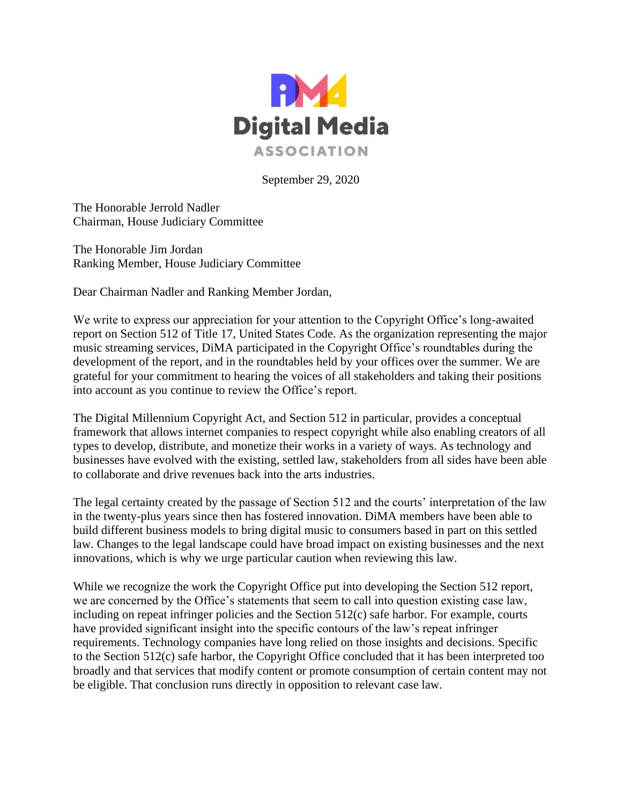

September 29, 2020

The Honorable Jerrold Nadler Chairman, House Judiciary Committee

The Honorable Jim Jordan Ranking Member, House Judiciary Committee

Dear Chairman Nadler and Ranking Member Jordan,

We write to express our appreciation for your attention to the Copyright Office's long-awaited report on Section 512 of Title 17, United States Code. As the organization representing the major music streaming services, DiMA participated in the Copyright Office's roundtables during the development of the report, and in the roundtables held by your offices over the summer. We are grateful for your commitment to hearing the voices of all stakeholders and taking their positions into account as you continue to review the Office's report.

The Digital Millennium Copyright Act, and Section 512 in particular, provides a conceptual framework that allows internet companies to respect copyright while also enabling creators of all types to develop, distribute, and monetize their works in a variety of ways. As technology and businesses have evolved with the existing, settled law, stakeholders from all sides have been able to collaborate and drive revenues back into the arts industries.

The legal certainty created by the passage of Section 512 and the courts' interpretation of the law in the twenty-plus years since then has fostered innovation. DiMA members have been able to build different business models to bring digital music to consumers based in part on this settled law. Changes to the legal landscape could have broad impact on existing businesses and the next innovations, which is why we urge particular caution when reviewing this law.

While we recognize the work the Copyright Office put into developing the Section 512 report, we are concerned by the Office's statements that seem to call into question existing case law, including on repeat infringer policies and the Section 512(c) safe harbor. For example, courts have provided significant insight into the specific contours of the law's repeat infringer requirements. Technology companies have long relied on those insights and decisions. Specific to the Section 512(c) safe harbor, the Copyright Office concluded that it has been interpreted too broadly and that services that modify content or promote consumption of certain content may not be eligible. That conclusion runs directly in opposition to relevant case law.